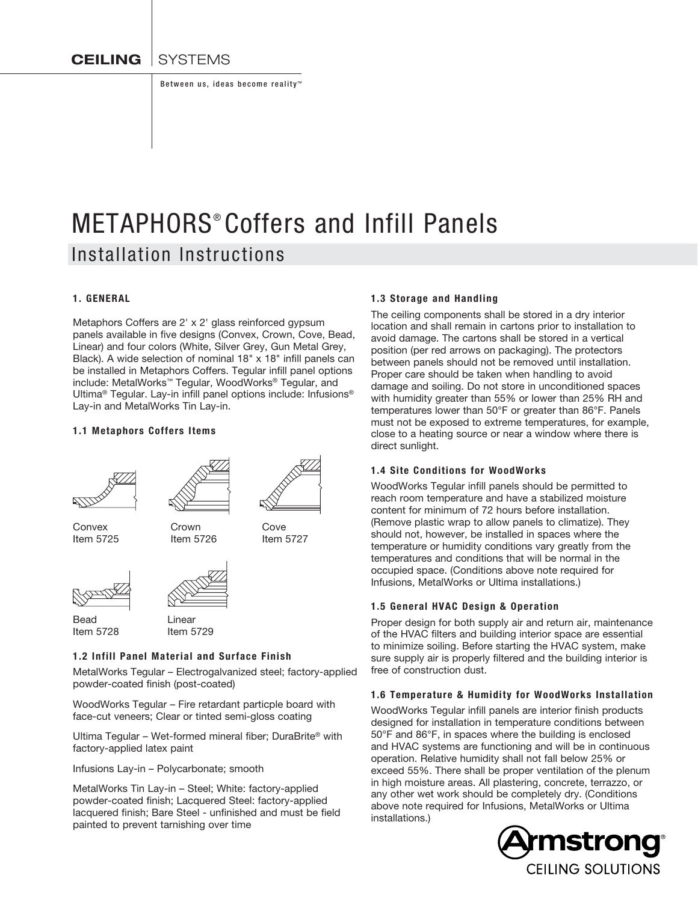**CEILING** SYSTEMS

Between us, ideas become reality™

# METAPHORS<sup>®</sup> Coffers and Infill Panels Installation Instructions

## 1. GENERAL

Metaphors Coffers are 2' x 2' glass reinforced gypsum panels available in five designs (Convex, Crown, Cove, Bead, Linear) and four colors (White, Silver Grey, Gun Metal Grey, Black). A wide selection of nominal 18" x 18" infill panels can be installed in Metaphors Coffers. Tegular infill panel options include: MetalWorks™ Tegular, WoodWorks® Tegular, and Ultima® Tegular. Lay-in infill panel options include: Infusions® Lay-in and MetalWorks Tin Lay-in.

#### 1.1 Metaphors Coffers Items







Bead Linear<br>Item 5728 Item 5



Item 5729

#### 1.2 Infill Panel Material and Surface Finish

MetalWorks Tegular – Electrogalvanized steel; factory-applied powder-coated finish (post-coated)

WoodWorks Tegular – Fire retardant particple board with face-cut veneers; Clear or tinted semi-gloss coating

Ultima Tegular – Wet-formed mineral fiber; DuraBrite® with factory-applied latex paint

Infusions Lay-in – Polycarbonate; smooth

MetalWorks Tin Lay-in – Steel; White: factory-applied powder-coated finish; Lacquered Steel: factory-applied lacquered finish; Bare Steel - unfinished and must be field painted to prevent tarnishing over time

#### 1.3 Storage and Handling

The ceiling components shall be stored in a dry interior location and shall remain in cartons prior to installation to avoid damage. The cartons shall be stored in a vertical position (per red arrows on packaging). The protectors between panels should not be removed until installation. Proper care should be taken when handling to avoid damage and soiling. Do not store in unconditioned spaces with humidity greater than 55% or lower than 25% RH and temperatures lower than 50°F or greater than 86°F. Panels must not be exposed to extreme temperatures, for example, close to a heating source or near a window where there is direct sunlight.

# 1.4 Site Conditions for WoodWorks

WoodWorks Tegular infill panels should be permitted to reach room temperature and have a stabilized moisture content for minimum of 72 hours before installation. (Remove plastic wrap to allow panels to climatize). They should not, however, be installed in spaces where the temperature or humidity conditions vary greatly from the temperatures and conditions that will be normal in the occupied space. (Conditions above note required for Infusions, MetalWorks or Ultima installations.)

#### 1.5 General HVAC Design & Operation

Proper design for both supply air and return air, maintenance of the HVAC filters and building interior space are essential to minimize soiling. Before starting the HVAC system, make sure supply air is properly filtered and the building interior is free of construction dust.

#### 1.6 Temperature & Humidity for WoodWorks Installation

WoodWorks Tegular infill panels are interior finish products designed for installation in temperature conditions between 50°F and 86°F, in spaces where the building is enclosed and HVAC systems are functioning and will be in continuous operation. Relative humidity shall not fall below 25% or exceed 55%. There shall be proper ventilation of the plenum in high moisture areas. All plastering, concrete, terrazzo, or any other wet work should be completely dry. (Conditions above note required for Infusions, MetalWorks or Ultima installations.)

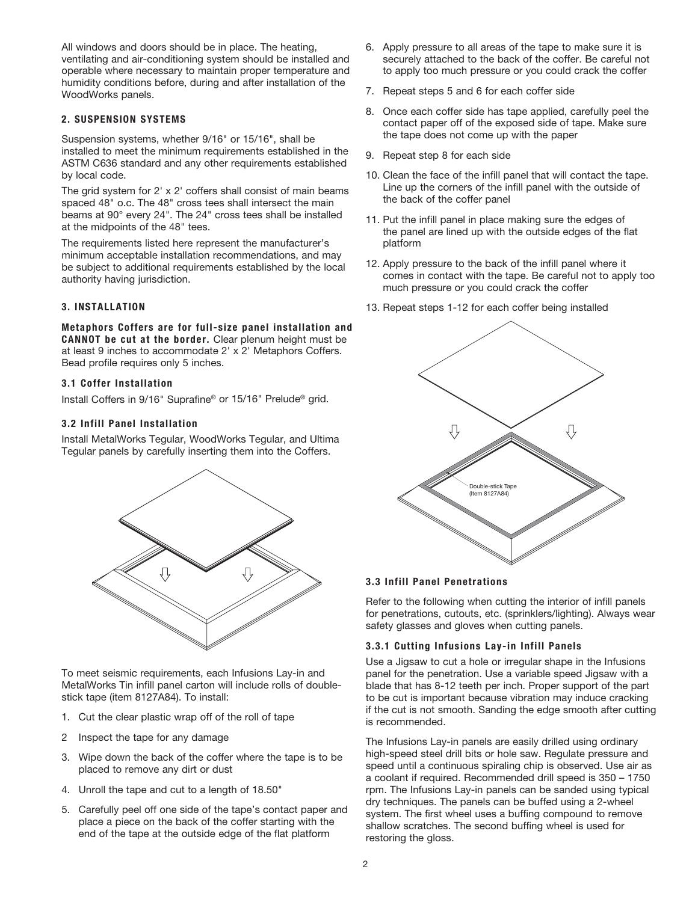All windows and doors should be in place. The heating, ventilating and air-conditioning system should be installed and operable where necessary to maintain proper temperature and humidity conditions before, during and after installation of the WoodWorks panels.

# 2. SUSPENSION SYSTEMS

Suspension systems, whether 9/16" or 15/16", shall be installed to meet the minimum requirements established in the ASTM C636 standard and any other requirements established by local code.

The grid system for 2' x 2' coffers shall consist of main beams spaced 48" o.c. The 48" cross tees shall intersect the main beams at 90° every 24". The 24" cross tees shall be installed at the midpoints of the 48" tees.

The requirements listed here represent the manufacturer's minimum acceptable installation recommendations, and may be subject to additional requirements established by the local authority having jurisdiction.

## 3. INSTALLATION

Metaphors Coffers are for full-size panel installation and CANNOT be cut at the border. Clear plenum height must be at least 9 inches to accommodate 2' x 2' Metaphors Coffers. Bead profile requires only 5 inches.

#### 3.1 Coffer Installation

Install Coffers in 9/16" Suprafine® or 15/16" Prelude® grid.

#### 3.2 Infill Panel Installation

Install MetalWorks Tegular, WoodWorks Tegular, and Ultima Tegular panels by carefully inserting them into the Coffers.



To meet seismic requirements, each Infusions Lay-in and MetalWorks Tin infill panel carton will include rolls of doublestick tape (item 8127A84). To install:

- 1. Cut the clear plastic wrap off of the roll of tape
- 2 Inspect the tape for any damage
- 3. Wipe down the back of the coffer where the tape is to be placed to remove any dirt or dust
- 4. Unroll the tape and cut to a length of 18.50"
- 5. Carefully peel off one side of the tape's contact paper and place a piece on the back of the coffer starting with the end of the tape at the outside edge of the flat platform
- 6. Apply pressure to all areas of the tape to make sure it is securely attached to the back of the coffer. Be careful not to apply too much pressure or you could crack the coffer
- 7. Repeat steps 5 and 6 for each coffer side
- 8. Once each coffer side has tape applied, carefully peel the contact paper off of the exposed side of tape. Make sure the tape does not come up with the paper
- 9. Repeat step 8 for each side
- 10. Clean the face of the infill panel that will contact the tape. Line up the corners of the infill panel with the outside of the back of the coffer panel
- 11. Put the infill panel in place making sure the edges of the panel are lined up with the outside edges of the flat platform
- 12. Apply pressure to the back of the infill panel where it comes in contact with the tape. Be careful not to apply too much pressure or you could crack the coffer
- 13. Repeat steps 1-12 for each coffer being installed



#### 3.3 Infill Panel Penetrations

Refer to the following when cutting the interior of infill panels for penetrations, cutouts, etc. (sprinklers/lighting). Always wear safety glasses and gloves when cutting panels.

#### 3.3.1 Cutting Infusions Lay-in Infill Panels

Use a Jigsaw to cut a hole or irregular shape in the Infusions panel for the penetration. Use a variable speed Jigsaw with a blade that has 8-12 teeth per inch. Proper support of the part to be cut is important because vibration may induce cracking if the cut is not smooth. Sanding the edge smooth after cutting is recommended.

The Infusions Lay-in panels are easily drilled using ordinary high-speed steel drill bits or hole saw. Regulate pressure and speed until a continuous spiraling chip is observed. Use air as a coolant if required. Recommended drill speed is 350 – 1750 rpm. The Infusions Lay-in panels can be sanded using typical dry techniques. The panels can be buffed using a 2-wheel system. The first wheel uses a buffing compound to remove shallow scratches. The second buffing wheel is used for restoring the gloss.